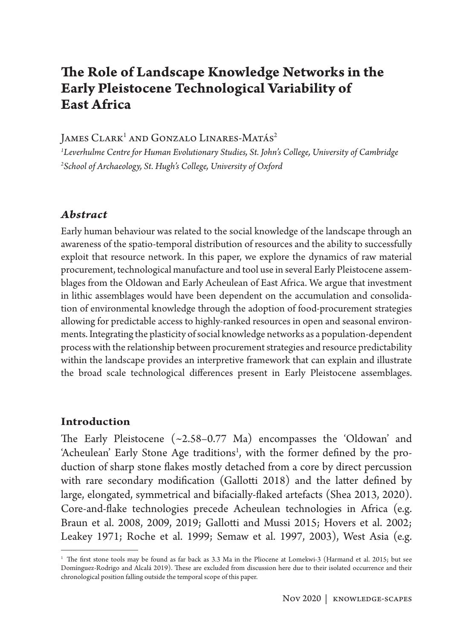# **The Role of Landscape Knowledge Networks in the Early Pleistocene Technological Variability of East Africa**

James Clark<sup>i</sup> and Gonzalo Linares-Matás<sup>2</sup>

*1 Leverhulme Centre for Human Evolutionary Studies, St. John's College, University of Cambridge 2 School of Archaeology, St. Hugh's College, University of Oxford*

#### *Abstract*

Early human behaviour was related to the social knowledge of the landscape through an awareness of the spatio-temporal distribution of resources and the ability to successfully exploit that resource network. In this paper, we explore the dynamics of raw material procurement, technological manufacture and tool use in several Early Pleistocene assemblages from the Oldowan and Early Acheulean of East Africa. We argue that investment in lithic assemblages would have been dependent on the accumulation and consolidation of environmental knowledge through the adoption of food-procurement strategies allowing for predictable access to highly-ranked resources in open and seasonal environments. Integrating the plasticity of social knowledge networks as a population-dependent process with the relationship between procurement strategies and resource predictability within the landscape provides an interpretive framework that can explain and illustrate the broad scale technological differences present in Early Pleistocene assemblages.

#### **Introduction**

The Early Pleistocene (~2.58–0.77 Ma) encompasses the 'Oldowan' and 'Acheulean' Early Stone Age traditions<sup>1</sup>, with the former defined by the production of sharp stone flakes mostly detached from a core by direct percussion with rare secondary modification (Gallotti 2018) and the latter defined by large, elongated, symmetrical and bifacially-flaked artefacts (Shea 2013, 2020). Core-and-flake technologies precede Acheulean technologies in Africa (e.g. Braun et al. 2008, 2009, 2019; Gallotti and Mussi 2015; Hovers et al. 2002; Leakey 1971; Roche et al. 1999; Semaw et al. 1997, 2003), West Asia (e.g.

<sup>&</sup>lt;sup>1</sup> The first stone tools may be found as far back as 3.3 Ma in the Pliocene at Lomekwi-3 (Harmand et al. 2015; but see Domínguez-Rodrigo and Alcalá 2019). These are excluded from discussion here due to their isolated occurrence and their chronological position falling outside the temporal scope of this paper.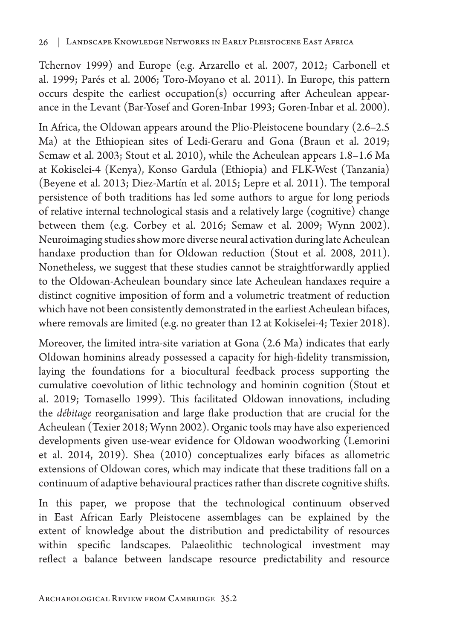Tchernov 1999) and Europe (e.g. Arzarello et al. 2007, 2012; Carbonell et al. 1999; Parés et al. 2006; Toro-Moyano et al. 2011). In Europe, this pattern occurs despite the earliest occupation(s) occurring after Acheulean appearance in the Levant (Bar-Yosef and Goren-Inbar 1993; Goren-Inbar et al. 2000).

In Africa, the Oldowan appears around the Plio-Pleistocene boundary (2.6–2.5 Ma) at the Ethiopiean sites of Ledi-Geraru and Gona (Braun et al. 2019; Semaw et al. 2003; Stout et al. 2010), while the Acheulean appears 1.8–1.6 Ma at Kokiselei-4 (Kenya), Konso Gardula (Ethiopia) and FLK-West (Tanzania) (Beyene et al. 2013; Diez-Martín et al. 2015; Lepre et al. 2011). The temporal persistence of both traditions has led some authors to argue for long periods of relative internal technological stasis and a relatively large (cognitive) change between them (e.g. Corbey et al. 2016; Semaw et al. 2009; Wynn 2002). Neuroimaging studies show more diverse neural activation during late Acheulean handaxe production than for Oldowan reduction (Stout et al. 2008, 2011). Nonetheless, we suggest that these studies cannot be straightforwardly applied to the Oldowan-Acheulean boundary since late Acheulean handaxes require a distinct cognitive imposition of form and a volumetric treatment of reduction which have not been consistently demonstrated in the earliest Acheulean bifaces, where removals are limited (e.g. no greater than 12 at Kokiselei-4; Texier 2018).

Moreover, the limited intra-site variation at Gona (2.6 Ma) indicates that early Oldowan hominins already possessed a capacity for high-fidelity transmission, laying the foundations for a biocultural feedback process supporting the cumulative coevolution of lithic technology and hominin cognition (Stout et al. 2019; Tomasello 1999). This facilitated Oldowan innovations, including the *débitage* reorganisation and large flake production that are crucial for the Acheulean (Texier 2018; Wynn 2002). Organic tools may have also experienced developments given use-wear evidence for Oldowan woodworking (Lemorini et al. 2014, 2019). Shea (2010) conceptualizes early bifaces as allometric extensions of Oldowan cores, which may indicate that these traditions fall on a continuum of adaptive behavioural practices rather than discrete cognitive shifts.

In this paper, we propose that the technological continuum observed in East African Early Pleistocene assemblages can be explained by the extent of knowledge about the distribution and predictability of resources within specific landscapes. Palaeolithic technological investment may reflect a balance between landscape resource predictability and resource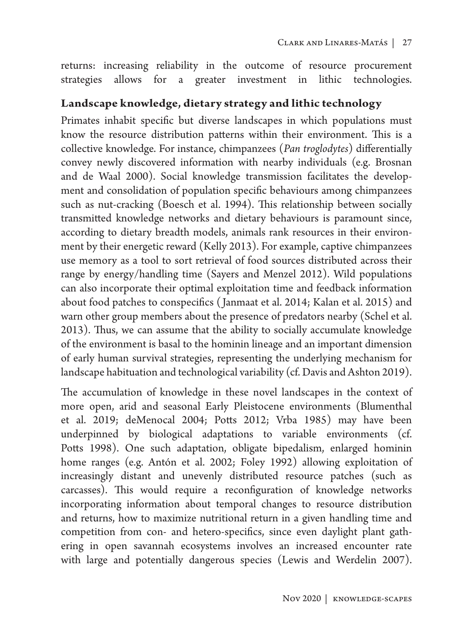returns: increasing reliability in the outcome of resource procurement strategies allows for a greater investment in lithic technologies.

### **Landscape knowledge, dietary strategy and lithic technology**

Primates inhabit specific but diverse landscapes in which populations must know the resource distribution patterns within their environment. This is a collective knowledge. For instance, chimpanzees (*Pan troglodytes*) differentially convey newly discovered information with nearby individuals (e.g. Brosnan and de Waal 2000). Social knowledge transmission facilitates the development and consolidation of population specific behaviours among chimpanzees such as nut-cracking (Boesch et al. 1994). This relationship between socially transmitted knowledge networks and dietary behaviours is paramount since, according to dietary breadth models, animals rank resources in their environment by their energetic reward (Kelly 2013). For example, captive chimpanzees use memory as a tool to sort retrieval of food sources distributed across their range by energy/handling time (Sayers and Menzel 2012). Wild populations can also incorporate their optimal exploitation time and feedback information about food patches to conspecifics ( Janmaat et al. 2014; Kalan et al. 2015) and warn other group members about the presence of predators nearby (Schel et al. 2013). Thus, we can assume that the ability to socially accumulate knowledge of the environment is basal to the hominin lineage and an important dimension of early human survival strategies, representing the underlying mechanism for landscape habituation and technological variability (cf. Davis and Ashton 2019).

The accumulation of knowledge in these novel landscapes in the context of more open, arid and seasonal Early Pleistocene environments (Blumenthal et al. 2019; deMenocal 2004; Potts 2012; Vrba 1985) may have been underpinned by biological adaptations to variable environments (cf. Potts 1998). One such adaptation, obligate bipedalism, enlarged hominin home ranges (e.g. Antón et al. 2002; Foley 1992) allowing exploitation of increasingly distant and unevenly distributed resource patches (such as carcasses). This would require a reconfiguration of knowledge networks incorporating information about temporal changes to resource distribution and returns, how to maximize nutritional return in a given handling time and competition from con- and hetero-specifics, since even daylight plant gathering in open savannah ecosystems involves an increased encounter rate with large and potentially dangerous species (Lewis and Werdelin 2007).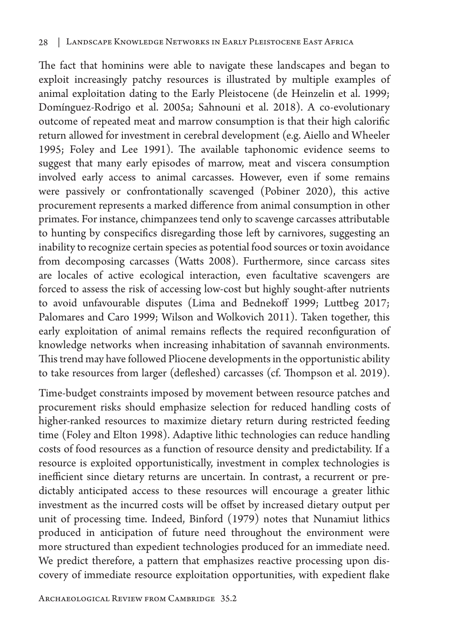The fact that hominins were able to navigate these landscapes and began to exploit increasingly patchy resources is illustrated by multiple examples of animal exploitation dating to the Early Pleistocene (de Heinzelin et al. 1999; Domínguez-Rodrigo et al. 2005a; Sahnouni et al. 2018). A co-evolutionary outcome of repeated meat and marrow consumption is that their high calorific return allowed for investment in cerebral development (e.g. Aiello and Wheeler 1995; Foley and Lee 1991). The available taphonomic evidence seems to suggest that many early episodes of marrow, meat and viscera consumption involved early access to animal carcasses. However, even if some remains were passively or confrontationally scavenged (Pobiner 2020), this active procurement represents a marked difference from animal consumption in other primates. For instance, chimpanzees tend only to scavenge carcasses attributable to hunting by conspecifics disregarding those left by carnivores, suggesting an inability to recognize certain species as potential food sources or toxin avoidance from decomposing carcasses (Watts 2008). Furthermore, since carcass sites are locales of active ecological interaction, even facultative scavengers are forced to assess the risk of accessing low-cost but highly sought-after nutrients to avoid unfavourable disputes (Lima and Bednekoff 1999; Luttbeg 2017; Palomares and Caro 1999; Wilson and Wolkovich 2011). Taken together, this early exploitation of animal remains reflects the required reconfiguration of knowledge networks when increasing inhabitation of savannah environments. This trend may have followed Pliocene developments in the opportunistic ability to take resources from larger (defleshed) carcasses (cf. Thompson et al. 2019).

Time-budget constraints imposed by movement between resource patches and procurement risks should emphasize selection for reduced handling costs of higher-ranked resources to maximize dietary return during restricted feeding time (Foley and Elton 1998). Adaptive lithic technologies can reduce handling costs of food resources as a function of resource density and predictability. If a resource is exploited opportunistically, investment in complex technologies is inefficient since dietary returns are uncertain. In contrast, a recurrent or predictably anticipated access to these resources will encourage a greater lithic investment as the incurred costs will be offset by increased dietary output per unit of processing time. Indeed, Binford (1979) notes that Nunamiut lithics produced in anticipation of future need throughout the environment were more structured than expedient technologies produced for an immediate need. We predict therefore, a pattern that emphasizes reactive processing upon discovery of immediate resource exploitation opportunities, with expedient flake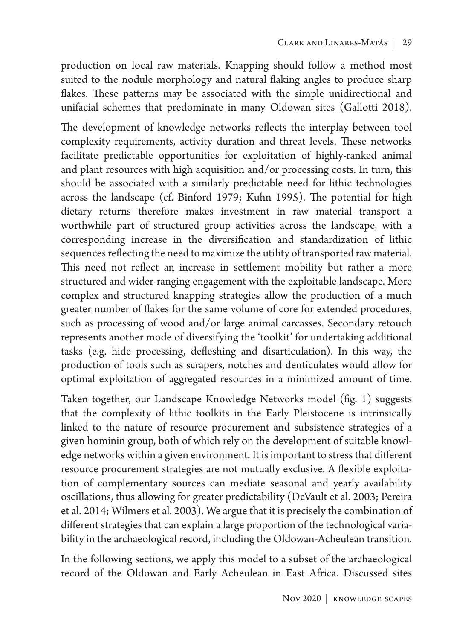production on local raw materials. Knapping should follow a method most suited to the nodule morphology and natural flaking angles to produce sharp flakes. These patterns may be associated with the simple unidirectional and unifacial schemes that predominate in many Oldowan sites (Gallotti 2018).

The development of knowledge networks reflects the interplay between tool complexity requirements, activity duration and threat levels. These networks facilitate predictable opportunities for exploitation of highly-ranked animal and plant resources with high acquisition and/or processing costs. In turn, this should be associated with a similarly predictable need for lithic technologies across the landscape (cf. Binford 1979; Kuhn 1995). The potential for high dietary returns therefore makes investment in raw material transport a worthwhile part of structured group activities across the landscape, with a corresponding increase in the diversification and standardization of lithic sequences reflecting the need to maximize the utility of transported raw material. This need not reflect an increase in settlement mobility but rather a more structured and wider-ranging engagement with the exploitable landscape. More complex and structured knapping strategies allow the production of a much greater number of flakes for the same volume of core for extended procedures, such as processing of wood and/or large animal carcasses. Secondary retouch represents another mode of diversifying the 'toolkit' for undertaking additional tasks (e.g. hide processing, defleshing and disarticulation). In this way, the production of tools such as scrapers, notches and denticulates would allow for optimal exploitation of aggregated resources in a minimized amount of time.

Taken together, our Landscape Knowledge Networks model (fig. 1) suggests that the complexity of lithic toolkits in the Early Pleistocene is intrinsically linked to the nature of resource procurement and subsistence strategies of a given hominin group, both of which rely on the development of suitable knowledge networks within a given environment. It is important to stress that different resource procurement strategies are not mutually exclusive. A flexible exploitation of complementary sources can mediate seasonal and yearly availability oscillations, thus allowing for greater predictability (DeVault et al. 2003; Pereira et al. 2014; Wilmers et al. 2003). We argue that it is precisely the combination of different strategies that can explain a large proportion of the technological variability in the archaeological record, including the Oldowan-Acheulean transition.

In the following sections, we apply this model to a subset of the archaeological record of the Oldowan and Early Acheulean in East Africa. Discussed sites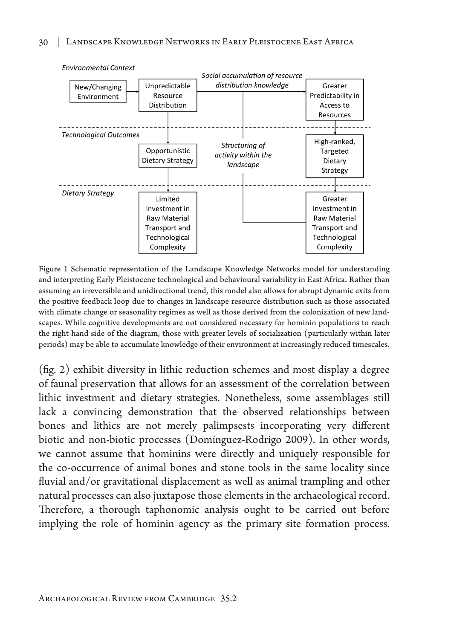

Figure 1 Schematic representation of the Landscape Knowledge Networks model for understanding and interpreting Early Pleistocene technological and behavioural variability in East Africa. Rather than assuming an irreversible and unidirectional trend, this model also allows for abrupt dynamic exits from the positive feedback loop due to changes in landscape resource distribution such as those associated with climate change or seasonality regimes as well as those derived from the colonization of new landscapes. While cognitive developments are not considered necessary for hominin populations to reach the right-hand side of the diagram, those with greater levels of socialization (particularly within later periods) may be able to accumulate knowledge of their environment at increasingly reduced timescales.

(fig. 2) exhibit diversity in lithic reduction schemes and most display a degree of faunal preservation that allows for an assessment of the correlation between lithic investment and dietary strategies. Nonetheless, some assemblages still lack a convincing demonstration that the observed relationships between bones and lithics are not merely palimpsests incorporating very different biotic and non-biotic processes (Domínguez-Rodrigo 2009). In other words, we cannot assume that hominins were directly and uniquely responsible for the co-occurrence of animal bones and stone tools in the same locality since fluvial and/or gravitational displacement as well as animal trampling and other natural processes can also juxtapose those elements in the archaeological record. Therefore, a thorough taphonomic analysis ought to be carried out before implying the role of hominin agency as the primary site formation process.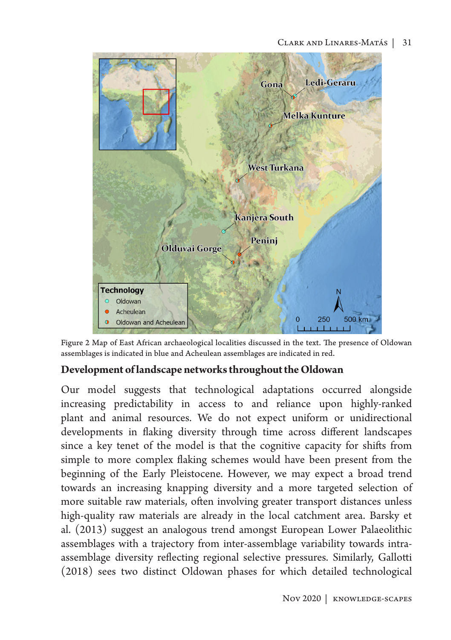

Figure 2 Map of East African archaeological localities discussed in the text. The presence of Oldowan assemblages is indicated in blue and Acheulean assemblages are indicated in red.

#### **Development of landscape networks throughout the Oldowan**

Our model suggests that technological adaptations occurred alongside increasing predictability in access to and reliance upon highly-ranked plant and animal resources. We do not expect uniform or unidirectional developments in flaking diversity through time across different landscapes since a key tenet of the model is that the cognitive capacity for shifts from simple to more complex flaking schemes would have been present from the beginning of the Early Pleistocene. However, we may expect a broad trend towards an increasing knapping diversity and a more targeted selection of more suitable raw materials, often involving greater transport distances unless high-quality raw materials are already in the local catchment area. Barsky et al. (2013) suggest an analogous trend amongst European Lower Palaeolithic assemblages with a trajectory from inter-assemblage variability towards intraassemblage diversity reflecting regional selective pressures. Similarly, Gallotti (2018) sees two distinct Oldowan phases for which detailed technological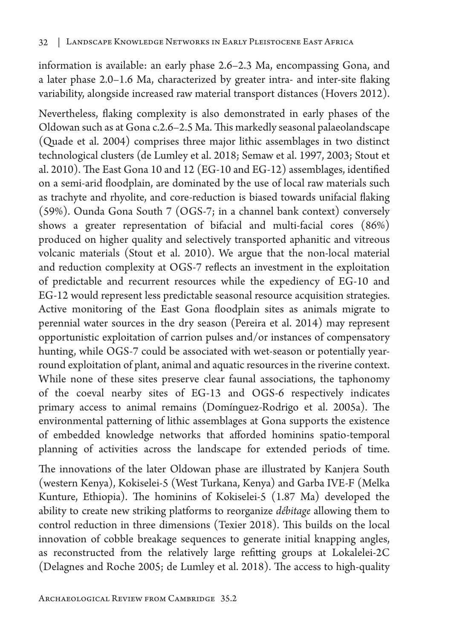information is available: an early phase 2.6–2.3 Ma, encompassing Gona, and a later phase 2.0–1.6 Ma, characterized by greater intra- and inter-site flaking variability, alongside increased raw material transport distances (Hovers 2012).

Nevertheless, flaking complexity is also demonstrated in early phases of the Oldowan such as at Gona c.2.6–2.5 Ma. This markedly seasonal palaeolandscape (Quade et al. 2004) comprises three major lithic assemblages in two distinct technological clusters (de Lumley et al. 2018; Semaw et al. 1997, 2003; Stout et al. 2010). The East Gona 10 and 12 (EG-10 and EG-12) assemblages, identified on a semi-arid floodplain, are dominated by the use of local raw materials such as trachyte and rhyolite, and core-reduction is biased towards unifacial flaking (59%). Ounda Gona South 7 (OGS-7; in a channel bank context) conversely shows a greater representation of bifacial and multi-facial cores (86%) produced on higher quality and selectively transported aphanitic and vitreous volcanic materials (Stout et al. 2010). We argue that the non-local material and reduction complexity at OGS-7 reflects an investment in the exploitation of predictable and recurrent resources while the expediency of EG-10 and EG-12 would represent less predictable seasonal resource acquisition strategies. Active monitoring of the East Gona floodplain sites as animals migrate to perennial water sources in the dry season (Pereira et al. 2014) may represent opportunistic exploitation of carrion pulses and/or instances of compensatory hunting, while OGS-7 could be associated with wet-season or potentially yearround exploitation of plant, animal and aquatic resources in the riverine context. While none of these sites preserve clear faunal associations, the taphonomy of the coeval nearby sites of EG-13 and OGS-6 respectively indicates primary access to animal remains (Domínguez-Rodrigo et al. 2005a). The environmental patterning of lithic assemblages at Gona supports the existence of embedded knowledge networks that afforded hominins spatio-temporal planning of activities across the landscape for extended periods of time.

The innovations of the later Oldowan phase are illustrated by Kanjera South (western Kenya), Kokiselei-5 (West Turkana, Kenya) and Garba IVE-F (Melka Kunture, Ethiopia). The hominins of Kokiselei-5 (1.87 Ma) developed the ability to create new striking platforms to reorganize *débitage* allowing them to control reduction in three dimensions (Texier 2018). This builds on the local innovation of cobble breakage sequences to generate initial knapping angles, as reconstructed from the relatively large refitting groups at Lokalelei-2C (Delagnes and Roche 2005; de Lumley et al. 2018). The access to high-quality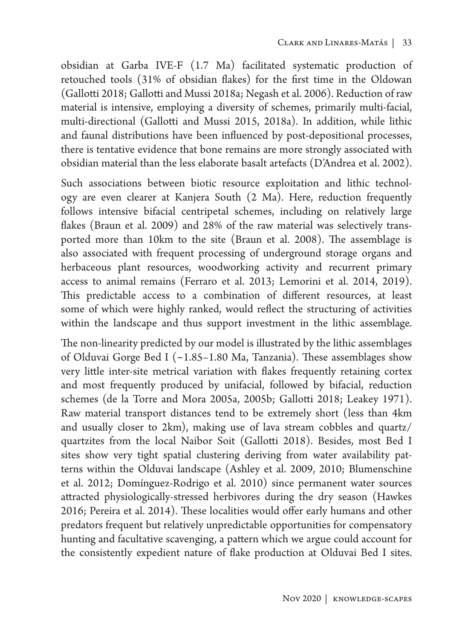obsidian at Garba IVE-F (1.7 Ma) facilitated systematic production of retouched tools (31% of obsidian flakes) for the first time in the Oldowan (Gallotti 2018; Gallotti and Mussi 2018a; Negash et al. 2006). Reduction of raw material is intensive, employing a diversity of schemes, primarily multi-facial, multi-directional (Gallotti and Mussi 2015, 2018a). In addition, while lithic and faunal distributions have been influenced by post-depositional processes, there is tentative evidence that bone remains are more strongly associated with obsidian material than the less elaborate basalt artefacts (D'Andrea et al. 2002).

Such associations between biotic resource exploitation and lithic technology are even clearer at Kanjera South (2 Ma). Here, reduction frequently follows intensive bifacial centripetal schemes, including on relatively large flakes (Braun et al. 2009) and 28% of the raw material was selectively transported more than 10km to the site (Braun et al. 2008). The assemblage is also associated with frequent processing of underground storage organs and herbaceous plant resources, woodworking activity and recurrent primary access to animal remains (Ferraro et al. 2013; Lemorini et al. 2014, 2019). This predictable access to a combination of different resources, at least some of which were highly ranked, would reflect the structuring of activities within the landscape and thus support investment in the lithic assemblage.

The non-linearity predicted by our model is illustrated by the lithic assemblages of Olduvai Gorge Bed I (~1.85–1.80 Ma, Tanzania). These assemblages show very little inter-site metrical variation with flakes frequently retaining cortex and most frequently produced by unifacial, followed by bifacial, reduction schemes (de la Torre and Mora 2005a, 2005b; Gallotti 2018; Leakey 1971). Raw material transport distances tend to be extremely short (less than 4km and usually closer to 2km), making use of lava stream cobbles and quartz/ quartzites from the local Naibor Soit (Gallotti 2018). Besides, most Bed I sites show very tight spatial clustering deriving from water availability patterns within the Olduvai landscape (Ashley et al. 2009, 2010; Blumenschine et al. 2012; Domínguez-Rodrigo et al. 2010) since permanent water sources attracted physiologically-stressed herbivores during the dry season (Hawkes 2016; Pereira et al. 2014). These localities would offer early humans and other predators frequent but relatively unpredictable opportunities for compensatory hunting and facultative scavenging, a pattern which we argue could account for the consistently expedient nature of flake production at Olduvai Bed I sites.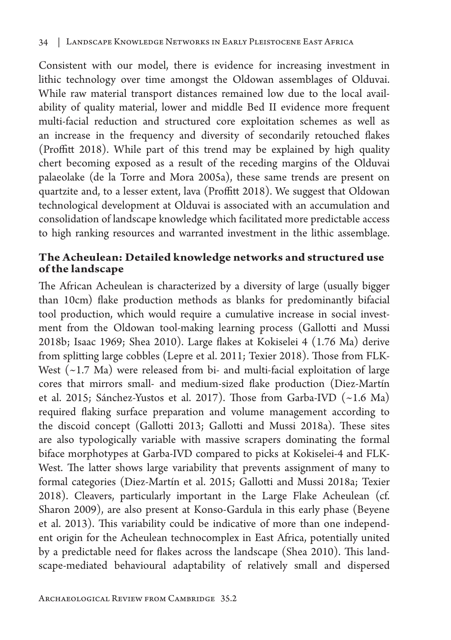Consistent with our model, there is evidence for increasing investment in lithic technology over time amongst the Oldowan assemblages of Olduvai. While raw material transport distances remained low due to the local availability of quality material, lower and middle Bed II evidence more frequent multi-facial reduction and structured core exploitation schemes as well as an increase in the frequency and diversity of secondarily retouched flakes (Proffitt 2018). While part of this trend may be explained by high quality chert becoming exposed as a result of the receding margins of the Olduvai palaeolake (de la Torre and Mora 2005a), these same trends are present on quartzite and, to a lesser extent, lava (Proffitt 2018). We suggest that Oldowan technological development at Olduvai is associated with an accumulation and consolidation of landscape knowledge which facilitated more predictable access to high ranking resources and warranted investment in the lithic assemblage.

# **The Acheulean: Detailed knowledge networks and structured use of the landscape**

The African Acheulean is characterized by a diversity of large (usually bigger than 10cm) flake production methods as blanks for predominantly bifacial tool production, which would require a cumulative increase in social investment from the Oldowan tool-making learning process (Gallotti and Mussi 2018b; Isaac 1969; Shea 2010). Large flakes at Kokiselei 4 (1.76 Ma) derive from splitting large cobbles (Lepre et al. 2011; Texier 2018). Those from FLK-West  $(-1.7 \text{ Ma})$  were released from bi- and multi-facial exploitation of large cores that mirrors small- and medium-sized flake production (Diez-Martín et al. 2015; Sánchez-Yustos et al. 2017). Those from Garba-IVD (~1.6 Ma) required flaking surface preparation and volume management according to the discoid concept (Gallotti 2013; Gallotti and Mussi 2018a). These sites are also typologically variable with massive scrapers dominating the formal biface morphotypes at Garba-IVD compared to picks at Kokiselei-4 and FLK-West. The latter shows large variability that prevents assignment of many to formal categories (Diez-Martín et al. 2015; Gallotti and Mussi 2018a; Texier 2018). Cleavers, particularly important in the Large Flake Acheulean (cf. Sharon 2009), are also present at Konso-Gardula in this early phase (Beyene et al. 2013). This variability could be indicative of more than one independent origin for the Acheulean technocomplex in East Africa, potentially united by a predictable need for flakes across the landscape (Shea 2010). This landscape-mediated behavioural adaptability of relatively small and dispersed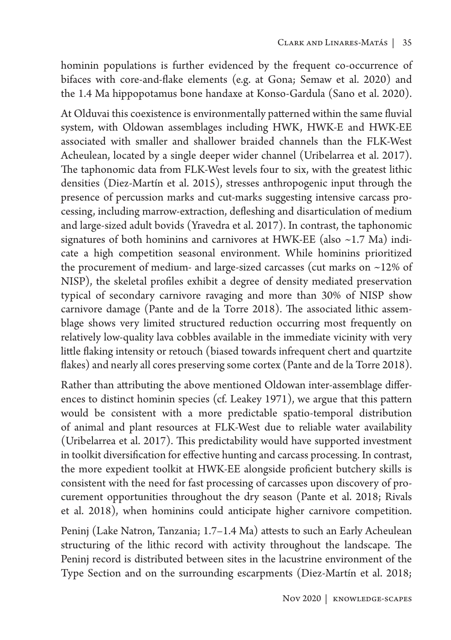hominin populations is further evidenced by the frequent co-occurrence of bifaces with core-and-flake elements (e.g. at Gona; Semaw et al. 2020) and the 1.4 Ma hippopotamus bone handaxe at Konso-Gardula (Sano et al. 2020).

At Olduvai this coexistence is environmentally patterned within the same fluvial system, with Oldowan assemblages including HWK, HWK-E and HWK-EE associated with smaller and shallower braided channels than the FLK-West Acheulean, located by a single deeper wider channel (Uribelarrea et al. 2017). The taphonomic data from FLK-West levels four to six, with the greatest lithic densities (Diez-Martín et al. 2015), stresses anthropogenic input through the presence of percussion marks and cut-marks suggesting intensive carcass processing, including marrow-extraction, defleshing and disarticulation of medium and large-sized adult bovids (Yravedra et al. 2017). In contrast, the taphonomic signatures of both hominins and carnivores at HWK-EE (also  $\sim$  1.7 Ma) indicate a high competition seasonal environment. While hominins prioritized the procurement of medium- and large-sized carcasses (cut marks on ~12% of NISP), the skeletal profiles exhibit a degree of density mediated preservation typical of secondary carnivore ravaging and more than 30% of NISP show carnivore damage (Pante and de la Torre 2018). The associated lithic assemblage shows very limited structured reduction occurring most frequently on relatively low-quality lava cobbles available in the immediate vicinity with very little flaking intensity or retouch (biased towards infrequent chert and quartzite flakes) and nearly all cores preserving some cortex (Pante and de la Torre 2018).

Rather than attributing the above mentioned Oldowan inter-assemblage differences to distinct hominin species (cf. Leakey 1971), we argue that this pattern would be consistent with a more predictable spatio-temporal distribution of animal and plant resources at FLK-West due to reliable water availability (Uribelarrea et al. 2017). This predictability would have supported investment in toolkit diversification for effective hunting and carcass processing. In contrast, the more expedient toolkit at HWK-EE alongside proficient butchery skills is consistent with the need for fast processing of carcasses upon discovery of procurement opportunities throughout the dry season (Pante et al. 2018; Rivals et al. 2018), when hominins could anticipate higher carnivore competition.

Peninj (Lake Natron, Tanzania; 1.7–1.4 Ma) attests to such an Early Acheulean structuring of the lithic record with activity throughout the landscape. The Peninj record is distributed between sites in the lacustrine environment of the Type Section and on the surrounding escarpments (Diez-Martín et al. 2018;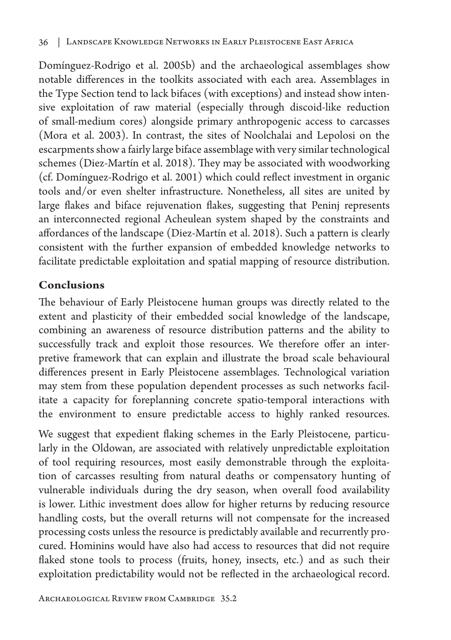Domínguez-Rodrigo et al. 2005b) and the archaeological assemblages show notable differences in the toolkits associated with each area. Assemblages in the Type Section tend to lack bifaces (with exceptions) and instead show intensive exploitation of raw material (especially through discoid-like reduction of small-medium cores) alongside primary anthropogenic access to carcasses (Mora et al. 2003). In contrast, the sites of Noolchalai and Lepolosi on the escarpments show a fairly large biface assemblage with very similar technological schemes (Diez-Martín et al. 2018). They may be associated with woodworking (cf. Domínguez-Rodrigo et al. 2001) which could reflect investment in organic tools and/or even shelter infrastructure. Nonetheless, all sites are united by large flakes and biface rejuvenation flakes, suggesting that Peninj represents an interconnected regional Acheulean system shaped by the constraints and affordances of the landscape (Diez-Martín et al. 2018). Such a pattern is clearly consistent with the further expansion of embedded knowledge networks to facilitate predictable exploitation and spatial mapping of resource distribution.

# **Conclusions**

The behaviour of Early Pleistocene human groups was directly related to the extent and plasticity of their embedded social knowledge of the landscape, combining an awareness of resource distribution patterns and the ability to successfully track and exploit those resources. We therefore offer an interpretive framework that can explain and illustrate the broad scale behavioural differences present in Early Pleistocene assemblages. Technological variation may stem from these population dependent processes as such networks facilitate a capacity for foreplanning concrete spatio-temporal interactions with the environment to ensure predictable access to highly ranked resources.

We suggest that expedient flaking schemes in the Early Pleistocene, particularly in the Oldowan, are associated with relatively unpredictable exploitation of tool requiring resources, most easily demonstrable through the exploitation of carcasses resulting from natural deaths or compensatory hunting of vulnerable individuals during the dry season, when overall food availability is lower. Lithic investment does allow for higher returns by reducing resource handling costs, but the overall returns will not compensate for the increased processing costs unless the resource is predictably available and recurrently procured. Hominins would have also had access to resources that did not require flaked stone tools to process (fruits, honey, insects, etc.) and as such their exploitation predictability would not be reflected in the archaeological record.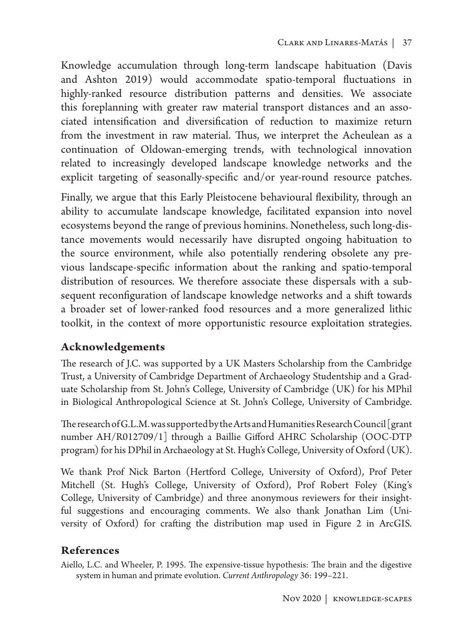Knowledge accumulation through long-term landscape habituation (Davis and Ashton 2019) would accommodate spatio-temporal fluctuations in highly-ranked resource distribution patterns and densities. We associate this foreplanning with greater raw material transport distances and an associated intensification and diversification of reduction to maximize return from the investment in raw material. Thus, we interpret the Acheulean as a continuation of Oldowan-emerging trends, with technological innovation related to increasingly developed landscape knowledge networks and the explicit targeting of seasonally-specific and/or year-round resource patches.

Finally, we argue that this Early Pleistocene behavioural flexibility, through an ability to accumulate landscape knowledge, facilitated expansion into novel ecosystems beyond the range of previous hominins. Nonetheless, such long-distance movements would necessarily have disrupted ongoing habituation to the source environment, while also potentially rendering obsolete any previous landscape-specific information about the ranking and spatio-temporal distribution of resources. We therefore associate these dispersals with a subsequent reconfiguration of landscape knowledge networks and a shift towards a broader set of lower-ranked food resources and a more generalized lithic toolkit, in the context of more opportunistic resource exploitation strategies.

# **Acknowledgements**

The research of J.C. was supported by a UK Masters Scholarship from the Cambridge Trust, a University of Cambridge Department of Archaeology Studentship and a Graduate Scholarship from St. John's College, University of Cambridge (UK) for his MPhil in Biological Anthropological Science at St. John's College, University of Cambridge.

The research of G.L.M. was supported by the Arts and Humanities Research Council [grant number AH/R012709/1] through a Baillie Gifford AHRC Scholarship (OOC-DTP program) for his DPhil in Archaeology at St. Hugh's College, University of Oxford (UK).

We thank Prof Nick Barton (Hertford College, University of Oxford), Prof Peter Mitchell (St. Hugh's College, University of Oxford), Prof Robert Foley (King's College, University of Cambridge) and three anonymous reviewers for their insightful suggestions and encouraging comments. We also thank Jonathan Lim (University of Oxford) for crafting the distribution map used in Figure 2 in ArcGIS.

# **References**

Aiello, L.C. and Wheeler, P. 1995. The expensive-tissue hypothesis: The brain and the digestive system in human and primate evolution. *Current Anthropology* 36: 199–221.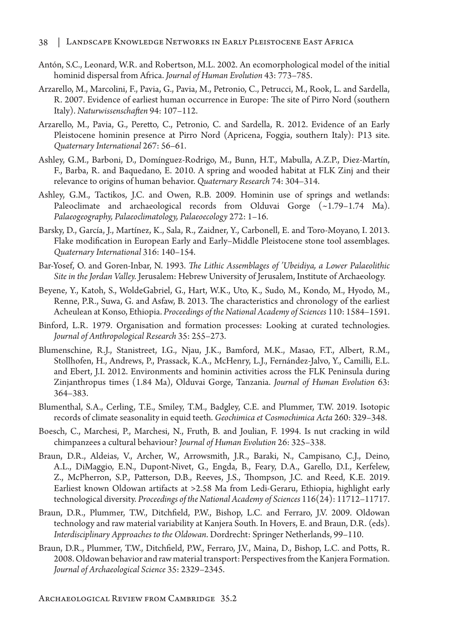- Antón, S.C., Leonard, W.R. and Robertson, M.L. 2002. An ecomorphological model of the initial hominid dispersal from Africa. *Journal of Human Evolution* 43: 773–785.
- Arzarello, M., Marcolini, F., Pavia, G., Pavia, M., Petronio, C., Petrucci, M., Rook, L. and Sardella, R. 2007. Evidence of earliest human occurrence in Europe: The site of Pirro Nord (southern Italy). *Naturwissenschaften* 94: 107–112.
- Arzarello, M., Pavia, G., Peretto, C., Petronio, C. and Sardella, R. 2012. Evidence of an Early Pleistocene hominin presence at Pirro Nord (Apricena, Foggia, southern Italy): P13 site. *Quaternary International* 267: 56–61.
- Ashley, G.M., Barboni, D., Domínguez-Rodrigo, M., Bunn, H.T., Mabulla, A.Z.P., Diez-Martín, F., Barba, R. and Baquedano, E. 2010. A spring and wooded habitat at FLK Zinj and their relevance to origins of human behavior. *Quaternary Research* 74: 304–314.
- Ashley, G.M., Tactikos, J.C. and Owen, R.B. 2009. Hominin use of springs and wetlands: Paleoclimate and archaeological records from Olduvai Gorge (~1.79–1.74 Ma). *Palaeogeography, Palaeoclimatology, Palaeoecology* 272: 1–16.
- Barsky, D., García, J., Martínez, K., Sala, R., Zaidner, Y., Carbonell, E. and Toro-Moyano, I. 2013. Flake modification in European Early and Early–Middle Pleistocene stone tool assemblages. *Quaternary International* 316: 140–154.
- Bar-Yosef, O. and Goren-Inbar, N. 1993. *The Lithic Assemblages of 'Ubeidiya, a Lower Palaeolithic Site in the Jordan Valley.* Jerusalem: Hebrew University of Jerusalem, Institute of Archaeology.
- Beyene, Y., Katoh, S., WoldeGabriel, G., Hart, W.K., Uto, K., Sudo, M., Kondo, M., Hyodo, M., Renne, P.R., Suwa, G. and Asfaw, B. 2013. The characteristics and chronology of the earliest Acheulean at Konso, Ethiopia. *Proceedings of the National Academy of Sciences* 110: 1584–1591.
- Binford, L.R. 1979. Organisation and formation processes: Looking at curated technologies. *Journal of Anthropological Research* 35: 255–273.
- Blumenschine, R.J., Stanistreet, I.G., Njau, J.K., Bamford, M.K., Masao, F.T., Albert, R.M., Stollhofen, H., Andrews, P., Prassack, K.A., McHenry, L.J., Fernández-Jalvo, Y., Camilli, E.L. and Ebert, J.I. 2012. Environments and hominin activities across the FLK Peninsula during Zinjanthropus times (1.84 Ma), Olduvai Gorge, Tanzania. *Journal of Human Evolution* 63: 364–383.
- Blumenthal, S.A., Cerling, T.E., Smiley, T.M., Badgley, C.E. and Plummer, T.W. 2019. Isotopic records of climate seasonality in equid teeth. *Geochimica et Cosmochimica Acta* 260: 329–348.
- Boesch, C., Marchesi, P., Marchesi, N., Fruth, B. and Joulian, F. 1994. Is nut cracking in wild chimpanzees a cultural behaviour? *Journal of Human Evolution* 26: 325–338.
- Braun, D.R., Aldeias, V., Archer, W., Arrowsmith, J.R., Baraki, N., Campisano, C.J., Deino, A.L., DiMaggio, E.N., Dupont-Nivet, G., Engda, B., Feary, D.A., Garello, D.I., Kerfelew, Z., McPherron, S.P., Patterson, D.B., Reeves, J.S., Thompson, J.C. and Reed, K.E. 2019. Earliest known Oldowan artifacts at >2.58 Ma from Ledi-Geraru, Ethiopia, highlight early technological diversity. *Proceedings of the National Academy of Sciences* 116(24): 11712–11717.
- Braun, D.R., Plummer, T.W., Ditchfield, P.W., Bishop, L.C. and Ferraro, J.V. 2009. Oldowan technology and raw material variability at Kanjera South. In Hovers, E. and Braun, D.R. (eds). *Interdisciplinary Approaches to the Oldowan*. Dordrecht: Springer Netherlands, 99–110.
- Braun, D.R., Plummer, T.W., Ditchfield, P.W., Ferraro, J.V., Maina, D., Bishop, L.C. and Potts, R. 2008. Oldowan behavior and raw material transport: Perspectives from the Kanjera Formation. *Journal of Archaeological Science* 35: 2329–2345.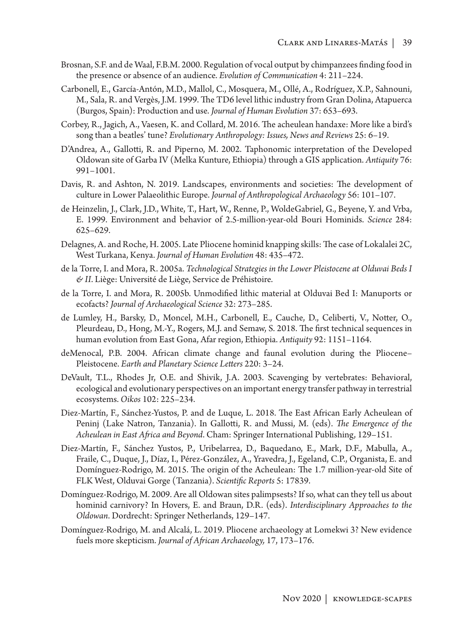- Brosnan, S.F. and de Waal, F.B.M. 2000. Regulation of vocal output by chimpanzees finding food in the presence or absence of an audience. *Evolution of Communication* 4: 211–224.
- Carbonell, E., García-Antón, M.D., Mallol, C., Mosquera, M., Ollé, A., Rodríguez, X.P., Sahnouni, M., Sala, R. and Vergès, J.M. 1999. The TD6 level lithic industry from Gran Dolina, Atapuerca (Burgos, Spain): Production and use. *Journal of Human Evolution* 37: 653–693.
- Corbey, R., Jagich, A., Vaesen, K. and Collard, M. 2016. The acheulean handaxe: More like a bird's song than a beatles' tune? *Evolutionary Anthropology: Issues, News and Reviews* 25: 6–19.
- D'Andrea, A., Gallotti, R. and Piperno, M. 2002. Taphonomic interpretation of the Developed Oldowan site of Garba IV (Melka Kunture, Ethiopia) through a GIS application. *Antiquity* 76: 991–1001.
- Davis, R. and Ashton, N. 2019. Landscapes, environments and societies: The development of culture in Lower Palaeolithic Europe. *Journal of Anthropological Archaeology* 56: 101–107.
- de Heinzelin, J., Clark, J.D., White, T., Hart, W., Renne, P., WoldeGabriel, G., Beyene, Y. and Vrba, E. 1999. Environment and behavior of 2.5-million-year-old Bouri Hominids. *Science* 284: 625–629.
- Delagnes, A. and Roche, H. 2005. Late Pliocene hominid knapping skills: The case of Lokalalei 2C, West Turkana, Kenya. *Journal of Human Evolution* 48: 435–472.
- de la Torre, I. and Mora, R. 2005a. *Technological Strategies in the Lower Pleistocene at Olduvai Beds I & II*. Liège: Université de Liège, Service de Préhistoire.
- de la Torre, I. and Mora, R. 2005b. Unmodified lithic material at Olduvai Bed I: Manuports or ecofacts? *Journal of Archaeological Science* 32: 273–285.
- de Lumley, H., Barsky, D., Moncel, M.H., Carbonell, E., Cauche, D., Celiberti, V., Notter, O., Pleurdeau, D., Hong, M.-Y., Rogers, M.J. and Semaw, S. 2018. The first technical sequences in human evolution from East Gona, Afar region, Ethiopia. *Antiquity* 92: 1151–1164.
- deMenocal, P.B. 2004. African climate change and faunal evolution during the Pliocene– Pleistocene. *Earth and Planetary Science Letters* 220: 3–24.
- DeVault, T.L., Rhodes Jr, O.E. and Shivik, J.A. 2003. Scavenging by vertebrates: Behavioral, ecological and evolutionary perspectives on an important energy transfer pathway in terrestrial ecosystems. *Oikos* 102: 225–234.
- Diez-Martín, F., Sánchez-Yustos, P. and de Luque, L. 2018. The East African Early Acheulean of Peninj (Lake Natron, Tanzania). In Gallotti, R. and Mussi, M. (eds). *The Emergence of the Acheulean in East Africa and Beyond*. Cham: Springer International Publishing, 129–151.
- Diez-Martín, F., Sánchez Yustos, P., Uribelarrea, D., Baquedano, E., Mark, D.F., Mabulla, A., Fraile, C., Duque, J., Díaz, I., Pérez-González, A., Yravedra, J., Egeland, C.P., Organista, E. and Domínguez-Rodrigo, M. 2015. The origin of the Acheulean: The 1.7 million-year-old Site of FLK West, Olduvai Gorge (Tanzania). *Scientific Reports* 5: 17839.
- Domínguez-Rodrigo, M. 2009. Are all Oldowan sites palimpsests? If so, what can they tell us about hominid carnivory? In Hovers, E. and Braun, D.R. (eds). *Interdisciplinary Approaches to the Oldowan*. Dordrecht: Springer Netherlands, 129–147.
- Domínguez-Rodrigo, M. and Alcalá, L. 2019. Pliocene archaeology at Lomekwi 3? New evidence fuels more skepticism. *Journal of African Archaeology,* 17, 173–176.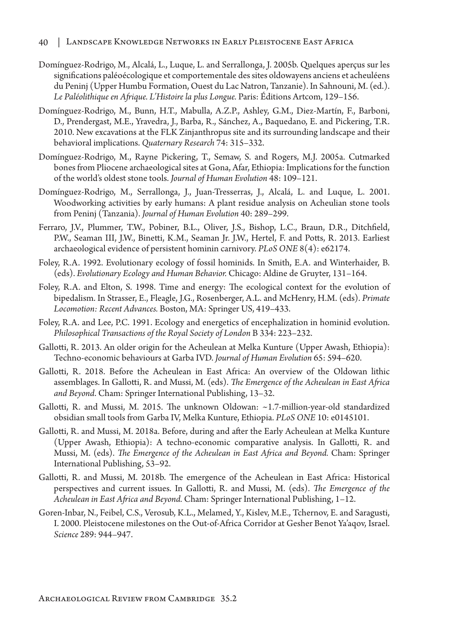- Domínguez-Rodrigo, M., Alcalá, L., Luque, L. and Serrallonga, J. 2005b. Quelques aperçus sur les significations paléoécologique et comportementale des sites oldowayens anciens et acheuléens du Peninj (Upper Humbu Formation, Ouest du Lac Natron, Tanzanie). In Sahnouni, M. (ed.). *Le Paléolithique en Afrique. L'Histoire la plus Longue.* Paris: Éditions Artcom, 129–156.
- Domínguez-Rodrigo, M., Bunn, H.T., Mabulla, A.Z.P., Ashley, G.M., Diez-Martín, F., Barboni, D., Prendergast, M.E., Yravedra, J., Barba, R., Sánchez, A., Baquedano, E. and Pickering, T.R. 2010. New excavations at the FLK Zinjanthropus site and its surrounding landscape and their behavioral implications. *Quaternary Research* 74: 315–332.
- Domínguez-Rodrigo, M., Rayne Pickering, T., Semaw, S. and Rogers, M.J. 2005a. Cutmarked bones from Pliocene archaeological sites at Gona, Afar, Ethiopia: Implications for the function of the world's oldest stone tools. *Journal of Human Evolution* 48: 109–121.
- Domínguez-Rodrigo, M., Serrallonga, J., Juan-Tresserras, J., Alcalá, L. and Luque, L. 2001. Woodworking activities by early humans: A plant residue analysis on Acheulian stone tools from Peninj (Tanzania). *Journal of Human Evolution* 40: 289–299.
- Ferraro, J.V., Plummer, T.W., Pobiner, B.L., Oliver, J.S., Bishop, L.C., Braun, D.R., Ditchfield, P.W., Seaman III, J.W., Binetti, K.M., Seaman Jr. J.W., Hertel, F. and Potts, R. 2013. Earliest archaeological evidence of persistent hominin carnivory. *PLoS ONE* 8(4): e62174.
- Foley, R.A. 1992. Evolutionary ecology of fossil hominids. In Smith, E.A. and Winterhaider, B. (eds). *Evolutionary Ecology and Human Behavior.* Chicago: Aldine de Gruyter, 131–164.
- Foley, R.A. and Elton, S. 1998. Time and energy: The ecological context for the evolution of bipedalism. In Strasser, E., Fleagle, J.G., Rosenberger, A.L. and McHenry, H.M. (eds). *Primate Locomotion: Recent Advances.* Boston, MA: Springer US, 419–433.
- Foley, R.A. and Lee, P.C. 1991. Ecology and energetics of encephalization in hominid evolution. *Philosophical Transactions of the Royal Society of London* B 334: 223–232.
- Gallotti, R. 2013. An older origin for the Acheulean at Melka Kunture (Upper Awash, Ethiopia): Techno-economic behaviours at Garba IVD. *Journal of Human Evolution* 65: 594–620.
- Gallotti, R. 2018. Before the Acheulean in East Africa: An overview of the Oldowan lithic assemblages. In Gallotti, R. and Mussi, M. (eds). *The Emergence of the Acheulean in East Africa and Beyond*. Cham: Springer International Publishing, 13–32.
- Gallotti, R. and Mussi, M. 2015. The unknown Oldowan: ~1.7-million-year-old standardized obsidian small tools from Garba IV, Melka Kunture, Ethiopia. *PLoS ONE* 10: e0145101.
- Gallotti, R. and Mussi, M. 2018a. Before, during and after the Early Acheulean at Melka Kunture (Upper Awash, Ethiopia): A techno-economic comparative analysis. In Gallotti, R. and Mussi, M. (eds). *The Emergence of the Acheulean in East Africa and Beyond.* Cham: Springer International Publishing, 53–92.
- Gallotti, R. and Mussi, M. 2018b. The emergence of the Acheulean in East Africa: Historical perspectives and current issues. In Gallotti, R. and Mussi, M. (eds). *The Emergence of the Acheulean in East Africa and Beyond.* Cham: Springer International Publishing, 1–12.
- Goren-Inbar, N., Feibel, C.S., Verosub, K.L., Melamed, Y., Kislev, M.E., Tchernov, E. and Saragusti, I. 2000. Pleistocene milestones on the Out-of-Africa Corridor at Gesher Benot Ya'aqov, Israel. *Science* 289: 944–947.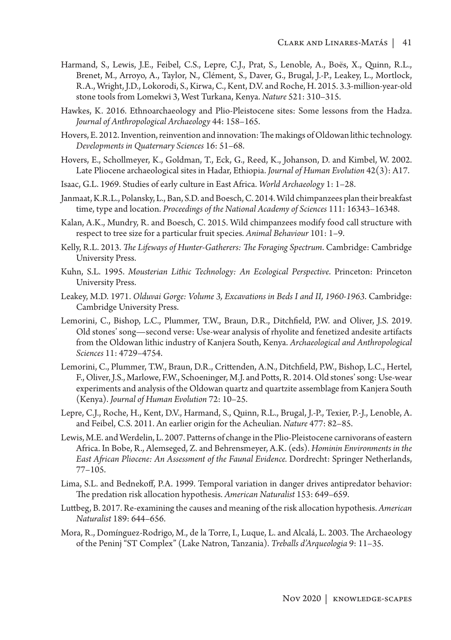- Harmand, S., Lewis, J.E., Feibel, C.S., Lepre, C.J., Prat, S., Lenoble, A., Boës, X., Quinn, R.L., Brenet, M., Arroyo, A., Taylor, N., Clément, S., Daver, G., Brugal, J.-P., Leakey, L., Mortlock, R.A., Wright, J.D., Lokorodi, S., Kirwa, C., Kent, D.V. and Roche, H. 2015. 3.3-million-year-old stone tools from Lomekwi 3, West Turkana, Kenya. *Nature* 521: 310–315.
- Hawkes, K. 2016. Ethnoarchaeology and Plio-Pleistocene sites: Some lessons from the Hadza. *Journal of Anthropological Archaeology* 44: 158–165.
- Hovers, E. 2012. Invention, reinvention and innovation: The makings of Oldowan lithic technology. *Developments in Quaternary Sciences* 16: 51–68.
- Hovers, E., Schollmeyer, K., Goldman, T., Eck, G., Reed, K., Johanson, D. and Kimbel, W. 2002. Late Pliocene archaeological sites in Hadar, Ethiopia. *Journal of Human Evolution* 42(3): A17.
- Isaac, G.L. 1969. Studies of early culture in East Africa. *World Archaeology* 1: 1–28.
- Janmaat, K.R.L., Polansky, L., Ban, S.D. and Boesch, C. 2014. Wild chimpanzees plan their breakfast time, type and location. *Proceedings of the National Academy of Sciences* 111: 16343–16348.
- Kalan, A.K., Mundry, R. and Boesch, C. 2015. Wild chimpanzees modify food call structure with respect to tree size for a particular fruit species. *Animal Behaviour* 101: 1–9.
- Kelly, R.L. 2013. *The Lifeways of Hunter-Gatherers: The Foraging Spectrum*. Cambridge: Cambridge University Press.
- Kuhn, S.L. 1995. *Mousterian Lithic Technology: An Ecological Perspective*. Princeton: Princeton University Press.
- Leakey, M.D. 1971. *Olduvai Gorge: Volume 3, Excavations in Beds I and II, 1960-1963*. Cambridge: Cambridge University Press.
- Lemorini, C., Bishop, L.C., Plummer, T.W., Braun, D.R., Ditchfield, P.W. and Oliver, J.S. 2019. Old stones' song—second verse: Use-wear analysis of rhyolite and fenetized andesite artifacts from the Oldowan lithic industry of Kanjera South, Kenya. *Archaeological and Anthropological Sciences* 11: 4729–4754.
- Lemorini, C., Plummer, T.W., Braun, D.R., Crittenden, A.N., Ditchfield, P.W., Bishop, L.C., Hertel, F., Oliver, J.S., Marlowe, F.W., Schoeninger, M.J. and Potts, R. 2014. Old stones' song: Use-wear experiments and analysis of the Oldowan quartz and quartzite assemblage from Kanjera South (Kenya). *Journal of Human Evolution* 72: 10–25.
- Lepre, C.J., Roche, H., Kent, D.V., Harmand, S., Quinn, R.L., Brugal, J.-P., Texier, P.-J., Lenoble, A. and Feibel, C.S. 2011. An earlier origin for the Acheulian. *Nature* 477: 82–85.
- Lewis, M.E. and Werdelin, L. 2007. Patterns of change in the Plio-Pleistocene carnivorans of eastern Africa. In Bobe, R., Alemseged, Z. and Behrensmeyer, A.K. (eds). *Hominin Environments in the East African Pliocene: An Assessment of the Faunal Evidence.* Dordrecht: Springer Netherlands, 77–105.
- Lima, S.L. and Bednekoff, P.A. 1999. Temporal variation in danger drives antipredator behavior: The predation risk allocation hypothesis. *American Naturalist* 153: 649–659.
- Luttbeg, B. 2017. Re-examining the causes and meaning of the risk allocation hypothesis. *American Naturalist* 189: 644–656.
- Mora, R., Domínguez-Rodrigo, M., de la Torre, I., Luque, L. and Alcalá, L. 2003. The Archaeology of the Peninj "ST Complex" (Lake Natron, Tanzania). *Treballs d'Arqueologia* 9: 11–35.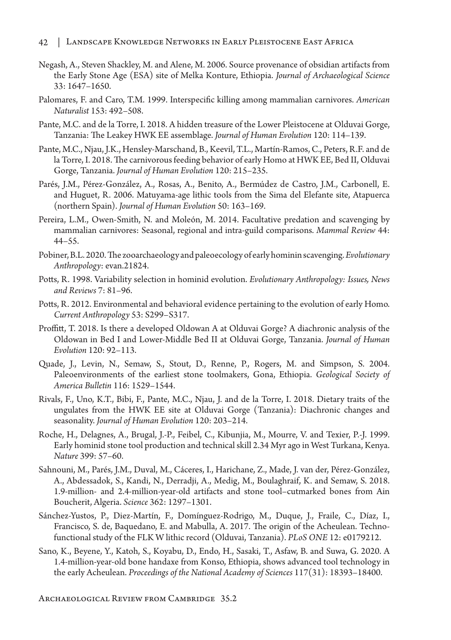- Negash, A., Steven Shackley, M. and Alene, M. 2006. Source provenance of obsidian artifacts from the Early Stone Age (ESA) site of Melka Konture, Ethiopia. *Journal of Archaeological Science* 33: 1647–1650.
- Palomares, F. and Caro, T.M. 1999. Interspecific killing among mammalian carnivores. *American Naturalist* 153: 492–508.
- Pante, M.C. and de la Torre, I. 2018. A hidden treasure of the Lower Pleistocene at Olduvai Gorge, Tanzania: The Leakey HWK EE assemblage. *Journal of Human Evolution* 120: 114–139.
- Pante, M.C., Njau, J.K., Hensley-Marschand, B., Keevil, T.L., Martín-Ramos, C., Peters, R.F. and de la Torre, I. 2018. The carnivorous feeding behavior of early Homo at HWK EE, Bed II, Olduvai Gorge, Tanzania. *Journal of Human Evolution* 120: 215–235.
- Parés, J.M., Pérez-González, A., Rosas, A., Benito, A., Bermúdez de Castro, J.M., Carbonell, E. and Huguet, R. 2006. Matuyama-age lithic tools from the Sima del Elefante site, Atapuerca (northern Spain). *Journal of Human Evolution* 50: 163–169.
- Pereira, L.M., Owen-Smith, N. and Moleón, M. 2014. Facultative predation and scavenging by mammalian carnivores: Seasonal, regional and intra-guild comparisons. *Mammal Review* 44: 44–55.
- Pobiner, B.L. 2020. The zooarchaeology and paleoecology of early hominin scavenging. *Evolutionary Anthropology*: evan.21824.
- Potts, R. 1998. Variability selection in hominid evolution. *Evolutionary Anthropology: Issues, News and Reviews* 7: 81–96.
- Potts, R. 2012. Environmental and behavioral evidence pertaining to the evolution of early Homo. *Current Anthropology* 53: S299–S317.
- Proffitt, T. 2018. Is there a developed Oldowan A at Olduvai Gorge? A diachronic analysis of the Oldowan in Bed I and Lower-Middle Bed II at Olduvai Gorge, Tanzania. *Journal of Human Evolution* 120: 92–113.
- Quade, J., Levin, N., Semaw, S., Stout, D., Renne, P., Rogers, M. and Simpson, S. 2004. Paleoenvironments of the earliest stone toolmakers, Gona, Ethiopia. *Geological Society of America Bulletin* 116: 1529–1544.
- Rivals, F., Uno, K.T., Bibi, F., Pante, M.C., Njau, J. and de la Torre, I. 2018. Dietary traits of the ungulates from the HWK EE site at Olduvai Gorge (Tanzania): Diachronic changes and seasonality. *Journal of Human Evolution* 120: 203–214.
- Roche, H., Delagnes, A., Brugal, J.-P., Feibel, C., Kibunjia, M., Mourre, V. and Texier, P.-J. 1999. Early hominid stone tool production and technical skill 2.34 Myr ago in West Turkana, Kenya. *Nature* 399: 57–60.
- Sahnouni, M., Parés, J.M., Duval, M., Cáceres, I., Harichane, Z., Made, J. van der, Pérez-González, A., Abdessadok, S., Kandi, N., Derradji, A., Medig, M., Boulaghraif, K. and Semaw, S. 2018. 1.9-million- and 2.4-million-year-old artifacts and stone tool–cutmarked bones from Ain Boucherit, Algeria. *Science* 362: 1297–1301.
- Sánchez-Yustos, P., Diez-Martín, F., Domínguez-Rodrigo, M., Duque, J., Fraile, C., Díaz, I., Francisco, S. de, Baquedano, E. and Mabulla, A. 2017. The origin of the Acheulean. Technofunctional study of the FLK W lithic record (Olduvai, Tanzania). *PLoS ONE* 12: e0179212.
- Sano, K., Beyene, Y., Katoh, S., Koyabu, D., Endo, H., Sasaki, T., Asfaw, B. and Suwa, G. 2020. A 1.4-million-year-old bone handaxe from Konso, Ethiopia, shows advanced tool technology in the early Acheulean. *Proceedings of the National Academy of Sciences* 117(31): 18393–18400.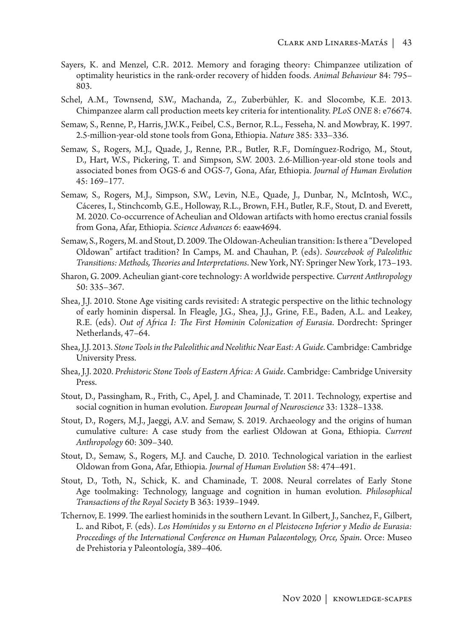- Sayers, K. and Menzel, C.R. 2012. Memory and foraging theory: Chimpanzee utilization of optimality heuristics in the rank-order recovery of hidden foods. *Animal Behaviour* 84: 795– 803.
- Schel, A.M., Townsend, S.W., Machanda, Z., Zuberbühler, K. and Slocombe, K.E. 2013. Chimpanzee alarm call production meets key criteria for intentionality. *PLoS ONE* 8: e76674.
- Semaw, S., Renne, P., Harris, J.W.K., Feibel, C.S., Bernor, R.L., Fesseha, N. and Mowbray, K. 1997. 2.5-million-year-old stone tools from Gona, Ethiopia. *Nature* 385: 333–336.
- Semaw, S., Rogers, M.J., Quade, J., Renne, P.R., Butler, R.F., Domínguez-Rodrigo, M., Stout, D., Hart, W.S., Pickering, T. and Simpson, S.W. 2003. 2.6-Million-year-old stone tools and associated bones from OGS-6 and OGS-7, Gona, Afar, Ethiopia. *Journal of Human Evolution* 45: 169–177.
- Semaw, S., Rogers, M.J., Simpson, S.W., Levin, N.E., Quade, J., Dunbar, N., McIntosh, W.C., Cáceres, I., Stinchcomb, G.E., Holloway, R.L., Brown, F.H., Butler, R.F., Stout, D. and Everett, M. 2020. Co-occurrence of Acheulian and Oldowan artifacts with homo erectus cranial fossils from Gona, Afar, Ethiopia. *Science Advances* 6: eaaw4694.
- Semaw, S., Rogers, M. and Stout, D. 2009. The Oldowan-Acheulian transition: Is there a "Developed Oldowan" artifact tradition? In Camps, M. and Chauhan, P. (eds). *Sourcebook of Paleolithic Transitions: Methods, Theories and Interpretations*. New York, NY: Springer New York, 173–193.
- Sharon, G. 2009. Acheulian giant‐core technology: A worldwide perspective. *Current Anthropology* 50: 335–367.
- Shea, J.J. 2010. Stone Age visiting cards revisited: A strategic perspective on the lithic technology of early hominin dispersal. In Fleagle, J.G., Shea, J.J., Grine, F.E., Baden, A.L. and Leakey, R.E. (eds). *Out of Africa I: The First Hominin Colonization of Eurasia*. Dordrecht: Springer Netherlands, 47–64.
- Shea, J.J. 2013. *Stone Tools in the Paleolithic and Neolithic Near East: A Guide*. Cambridge: Cambridge University Press.
- Shea, J.J. 2020. *Prehistoric Stone Tools of Eastern Africa: A Guide*. Cambridge: Cambridge University Press.
- Stout, D., Passingham, R., Frith, C., Apel, J. and Chaminade, T. 2011. Technology, expertise and social cognition in human evolution. *European Journal of Neuroscience* 33: 1328–1338.
- Stout, D., Rogers, M.J., Jaeggi, A.V. and Semaw, S. 2019. Archaeology and the origins of human cumulative culture: A case study from the earliest Oldowan at Gona, Ethiopia. *Current Anthropology* 60: 309–340.
- Stout, D., Semaw, S., Rogers, M.J. and Cauche, D. 2010. Technological variation in the earliest Oldowan from Gona, Afar, Ethiopia. *Journal of Human Evolution* 58: 474–491.
- Stout, D., Toth, N., Schick, K. and Chaminade, T. 2008. Neural correlates of Early Stone Age toolmaking: Technology, language and cognition in human evolution. *Philosophical Transactions of the Royal Society* B 363: 1939–1949.
- Tchernov, E. 1999. The earliest hominids in the southern Levant. In Gilbert, J., Sanchez, F., Gilbert, L. and Ribot, F. (eds). *Los Homínidos y su Entorno en el Pleistoceno Inferior y Medio de Eurasia: Proceedings of the International Conference on Human Palaeontology, Orce, Spain*. Orce: Museo de Prehistoria y Paleontología, 389–406.